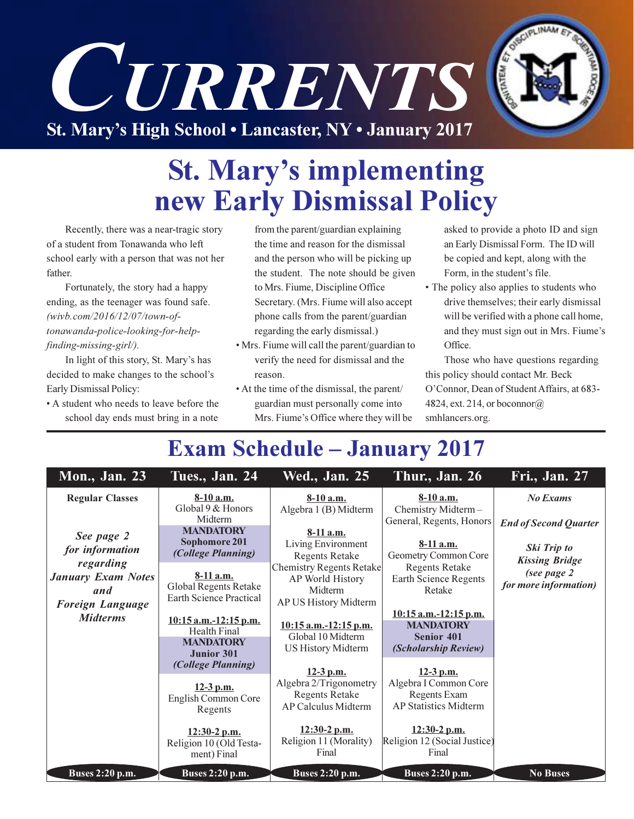

## **St. Mary's implementing** new Early Dismissal Policy

Recently, there was a near-tragic story of a student from Tonawanda who left school early with a person that was not her father.

Fortunately, the story had a happy ending, as the teenager was found safe. (wivb.com/2016/12/07/town-oftonawanda-police-looking-for-helpfinding-missing-girl/).

In light of this story, St. Mary's has decided to make changes to the school's Early Dismissal Policy:

• A student who needs to leave before the school day ends must bring in a note

from the parent/guardian explaining the time and reason for the dismissal and the person who will be picking up the student. The note should be given to Mrs. Fiume, Discipline Office Secretary. (Mrs. Fiume will also accept phone calls from the parent/guardian regarding the early dismissal.)

- Mrs. Fiume will call the parent/guardian to verify the need for dismissal and the reason.
- At the time of the dismissal, the parent/ guardian must personally come into Mrs. Fiume's Office where they will be

asked to provide a photo ID and sign an Early Dismissal Form. The ID will be copied and kept, along with the Form, in the student's file.

• The policy also applies to students who drive themselves; their early dismissal will be verified with a phone call home, and they must sign out in Mrs. Fiume's Office.

Those who have questions regarding this policy should contact Mr. Beck O'Connor, Dean of Student Affairs, at 683-4824, ext. 214, or boconnor $@$ smhlancers.org.

## **Exam Schedule – January 2017**

| <b>Mon., Jan. 23</b>                                                     | Tues., Jan. 24                                                                          | <b>Wed., Jan. 25</b>                                                                                                                                                                                                                                                                                                        | Thur., Jan. 26                                                                                  | Fri., Jan. 27                                                                                                |
|--------------------------------------------------------------------------|-----------------------------------------------------------------------------------------|-----------------------------------------------------------------------------------------------------------------------------------------------------------------------------------------------------------------------------------------------------------------------------------------------------------------------------|-------------------------------------------------------------------------------------------------|--------------------------------------------------------------------------------------------------------------|
| <b>Regular Classes</b>                                                   | $8-10$ a.m.<br>Global 9 & Honors<br>Midterm                                             | $8-10$ a.m.<br>Algebra 1 (B) Midterm                                                                                                                                                                                                                                                                                        | $8-10$ a.m.<br>Chemistry Midterm-<br>General, Regents, Honors                                   | <b>No Exams</b>                                                                                              |
| See page 2<br>for information                                            | <b>MANDATORY</b><br>Sophomore 201<br><i>(College Planning)</i>                          | $8-11$ a.m.<br>Living Environment<br><b>Regents Retake</b><br><b>Chemistry Regents Retake</b><br>AP World History<br>Midterm<br>AP US History Midterm<br>$10:15$ a.m.-12:15 p.m.<br>Global 10 Midterm<br><b>US History Midterm</b><br>$12-3$ p.m.<br>Algebra 2/Trigonometry<br><b>Regents Retake</b><br>AP Calculus Midterm | $8-11$ a.m.<br>Geometry Common Core<br><b>Regents Retake</b><br>Earth Science Regents<br>Retake | <b>End of Second Quarter</b><br>Ski Trip to<br><b>Kissing Bridge</b><br>(see page 2<br>for more information) |
| regarding<br><b>January Exam Notes</b><br>and<br><b>Foreign Language</b> | $8-11$ a.m.<br>Global Regents Retake<br><b>Earth Science Practical</b>                  |                                                                                                                                                                                                                                                                                                                             |                                                                                                 |                                                                                                              |
| <i>Midterms</i>                                                          | $10:15$ a.m.-12:15 p.m.<br><b>Health Final</b><br><b>MANDATORY</b><br><b>Junior 301</b> |                                                                                                                                                                                                                                                                                                                             | $10:15$ a.m.-12:15 p.m.<br><b>MANDATORY</b><br><b>Senior 401</b><br>(Scholarship Review)        |                                                                                                              |
|                                                                          | (College Planning)<br>$12-3$ p.m.<br>English Common Core<br>Regents                     |                                                                                                                                                                                                                                                                                                                             | $12-3$ p.m.<br>Algebra I Common Core<br>Regents Exam<br><b>AP Statistics Midterm</b>            |                                                                                                              |
| <b>Buses 2:20 p.m.</b>                                                   | 12:30-2 p.m.<br>Religion 10 (Old Testa-<br>ment) Final<br><b>Buses 2:20 p.m.</b>        | $12:30-2$ p.m.<br>Religion 11 (Morality)<br>Final<br>Buses 2:20 p.m.                                                                                                                                                                                                                                                        | $12:30-2$ p.m.<br>Religion 12 (Social Justice)<br>Final<br>Buses 2:20 p.m.                      | <b>No Buses</b>                                                                                              |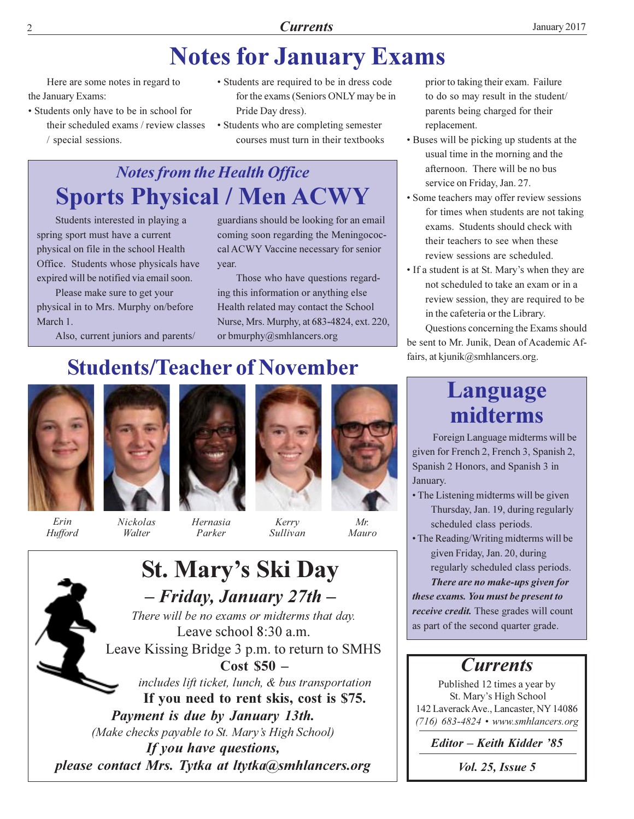## **Notes for January Exams**

Here are some notes in regard to the January Exams:

- Students only have to be in school for their scheduled exams / review classes / special sessions.
- Students are required to be in dress code for the exams (Seniors ONLY may be in Pride Day dress).
- Students who are completing semester courses must turn in their textbooks

## **Notes from the Health Office Sports Physical / Men ACWY**

Students interested in playing a spring sport must have a current physical on file in the school Health Office. Students whose physicals have expired will be notified via email soon.

Please make sure to get your physical in to Mrs. Murphy on/before March 1.

Also, current juniors and parents/

guardians should be looking for an email coming soon regarding the Meningococcal ACWY Vaccine necessary for senior year.

Those who have questions regarding this information or anything else Health related may contact the School Nurse, Mrs. Murphy, at 683-4824, ext. 220, or bmurphy@smhlancers.org

## **Students/Teacher of November**



Erin



Nickolas

Walter

Hufford

Hernasia

Parker





Mauro

Kerry Sullivan

**St. Mary's Ski Day** - Friday, January 27th -There will be no exams or midterms that day. Leave school  $8:30$  a.m. Leave Kissing Bridge 3 p.m. to return to SMHS  $Cost$  \$50  $$ includes lift ticket, lunch, & bus transportation If you need to rent skis, cost is \$75. Payment is due by January 13th. (Make checks payable to St. Mary's High School) If you have questions, please contact Mrs. Tytka at ltytka@smhlancers.org

prior to taking their exam. Failure to do so may result in the student/ parents being charged for their replacement.

- Buses will be picking up students at the usual time in the morning and the afternoon. There will be no bus service on Friday, Jan. 27.
- Some teachers may offer review sessions for times when students are not taking exams. Students should check with their teachers to see when these review sessions are scheduled.
- If a student is at St. Mary's when they are not scheduled to take an exam or in a review session, they are required to be in the cafeteria or the Library.

Questions concerning the Exams should be sent to Mr. Junik, Dean of Academic Affairs, at kjunik@smhlancers.org.

### Language midterms

Foreign Language midterms will be given for French 2, French 3, Spanish 2, Spanish 2 Honors, and Spanish 3 in January.

- The Listening midterms will be given Thursday, Jan. 19, during regularly scheduled class periods.
- The Reading/Writing midterms will be given Friday, Jan. 20, during regularly scheduled class periods.

There are no make-ups given for these exams. You must be present to *receive credit.* These grades will count as part of the second quarter grade.

### **Currents**

Published 12 times a year by St. Mary's High School 142 Laverack Ave., Lancaster, NY 14086  $(716)$  683-4824 • www.smhlancers.org

Editor – Keith Kidder '85

*Vol. 25, Issue 5*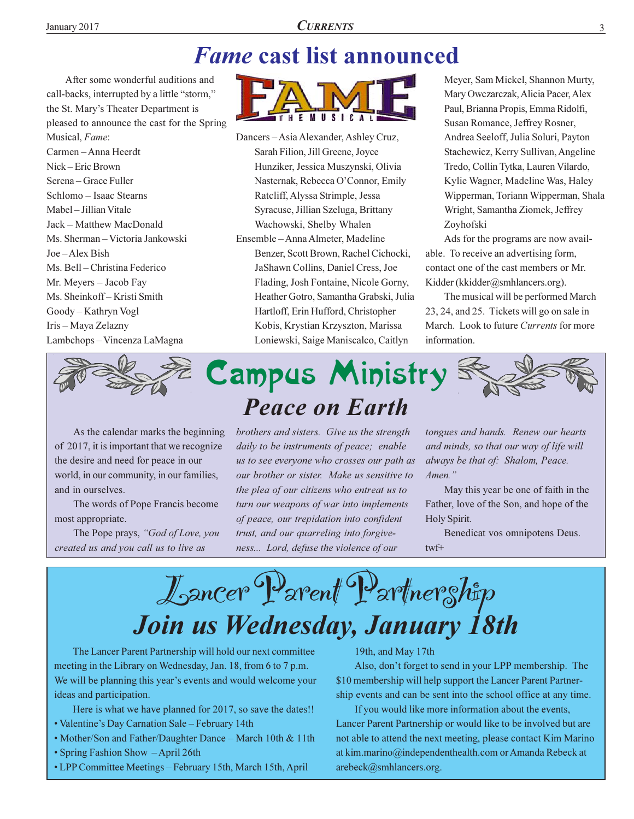## **Fame cast list announced**

After some wonderful auditions and call-backs, interrupted by a little "storm," the St. Mary's Theater Department is pleased to announce the cast for the Spring Musical, Fame: Carmen - Anna Heerdt Nick-Eric Brown Serena – Grace Fuller Schlomo - Isaac Stearns Mabel - Jillian Vitale Jack - Matthew MacDonald Ms. Sherman - Victoria Jankowski Joe-Alex Bish Ms. Bell - Christina Federico Mr. Meyers - Jacob Fay Ms. Sheinkoff-Kristi Smith Goody-Kathryn Vogl Iris - Maya Zelazny Lambchops - Vincenza LaMagna



Dancers-Asia Alexander, Ashley Cruz, Sarah Filion, Jill Greene, Joyce Hunziker, Jessica Muszynski, Olivia Nasternak, Rebecca O'Connor, Emily Ratcliff, Alyssa Strimple, Jessa Syracuse, Jillian Szeluga, Brittany Wachowski, Shelby Whalen Ensemble - Anna Almeter, Madeline Benzer, Scott Brown, Rachel Cichocki, JaShawn Collins, Daniel Cress, Joe Flading, Josh Fontaine, Nicole Gorny, Heather Gotro, Samantha Grabski, Julia Hartloff, Erin Hufford, Christopher Kobis, Krystian Krzyszton, Marissa Loniewski, Saige Maniscalco, Caitlyn

Meyer, Sam Mickel, Shannon Murty, Mary Owczarczak, Alicia Pacer, Alex Paul, Brianna Propis, Emma Ridolfi, Susan Romance, Jeffrey Rosner, Andrea Seeloff, Julia Soluri, Payton Stachewicz, Kerry Sullivan, Angeline Tredo, Collin Tytka, Lauren Vilardo, Kylie Wagner, Madeline Was, Haley Wipperman, Toriann Wipperman, Shala Wright, Samantha Ziomek, Jeffrey Zoyhofski

Ads for the programs are now available. To receive an advertising form, contact one of the cast members or Mr. Kidder (kkidder@smhlancers.org).

The musical will be performed March 23, 24, and 25. Tickets will go on sale in March. Look to future Currents for more information.



As the calendar marks the beginning of 2017, it is important that we recognize the desire and need for peace in our world, in our community, in our families, and in ourselves.

The words of Pope Francis become most appropriate.

The Pope prays, "God of Love, you created us and you call us to live as



brothers and sisters. Give us the strength daily to be instruments of peace; enable us to see everyone who crosses our path as our brother or sister. Make us sensitive to the plea of our citizens who entreat us to turn our weapons of war into implements of peace, our trepidation into confident trust, and our quarreling into forgiveness... Lord, defuse the violence of our

tongues and hands. Renew our hearts and minds, so that our way of life will always be that of: Shalom, Peace. Amen."

May this year be one of faith in the Father, love of the Son, and hope of the Holy Spirit.

Benedicat vos omnipotens Deus.  $twf+$ 

Lancer Parent Partner ship Join us Wednesday, January 18th

The Lancer Parent Partnership will hold our next committee meeting in the Library on Wednesday, Jan. 18, from 6 to 7 p.m. We will be planning this year's events and would welcome your ideas and participation.

Here is what we have planned for 2017, so save the dates!!

- Valentine's Day Carnation Sale February 14th
- Mother/Son and Father/Daughter Dance March 10th & 11th
- Spring Fashion Show April 26th
- LPP Committee Meetings February 15th, March 15th, April

#### 19th, and May 17th

Also, don't forget to send in your LPP membership. The \$10 membership will help support the Lancer Parent Partnership events and can be sent into the school office at any time.

If you would like more information about the events, Lancer Parent Partnership or would like to be involved but are not able to attend the next meeting, please contact Kim Marino at kim.marino@independenthealth.com or Amanda Rebeck at arebeck@smhlancers.org.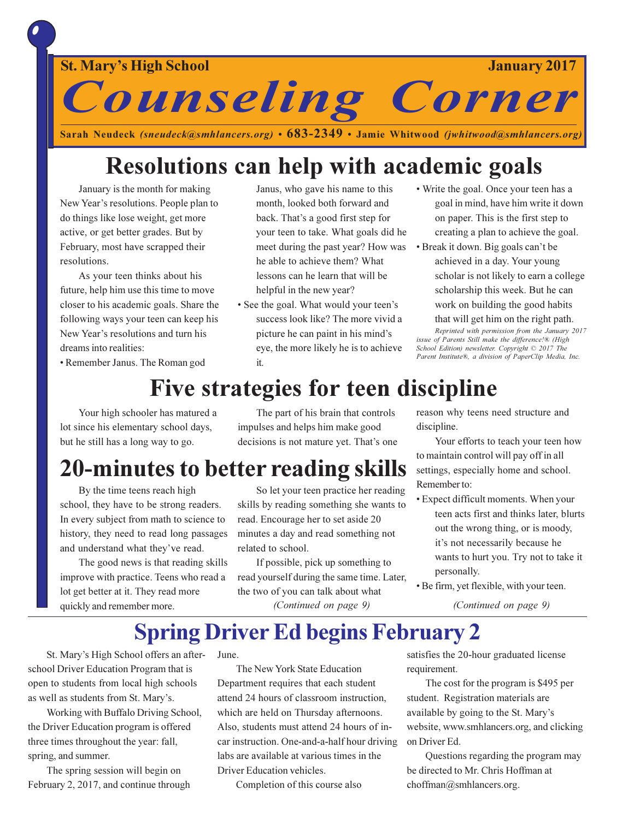### January 2017

**Counseling Corner** 

Sarah Neudeck (sneudeck@smhlancers.org) • 683-2349 • Jamie Whitwood (jwhitwood@smhlancers.org)

## Resolutions can help with academic goals

January is the month for making New Year's resolutions. People plan to do things like lose weight, get more active, or get better grades. But by February, most have scrapped their resolutions.

As your teen thinks about his future, help him use this time to move closer to his academic goals. Share the following ways your teen can keep his New Year's resolutions and turn his dreams into realities:

Janus, who gave his name to this month, looked both forward and back. That's a good first step for your teen to take. What goals did he meet during the past year? How was he able to achieve them? What lessons can he learn that will be helpful in the new year?

- See the goal. What would your teen's success look like? The more vivid a picture he can paint in his mind's eye, the more likely he is to achieve it.
- Write the goal. Once your teen has a goal in mind, have him write it down on paper. This is the first step to creating a plan to achieve the goal.
- Break it down. Big goals can't be achieved in a day. Your young scholar is not likely to earn a college scholarship this week. But he can work on building the good habits

that will get him on the right path.

Reprinted with permission from the January 2017 issue of Parents Still make the difference!® (High<br>School Edition) newsletter. Copyright © 2017 The Parent Institute®, a division of PaperClip Media, Inc.

• Remember Janus. The Roman god

## Five strategies for teen discipline

Your high schooler has matured a lot since his elementary school days, but he still has a long way to go.

The part of his brain that controls impulses and helps him make good decisions is not mature yet. That's one

### **20-minutes to better reading skills**

By the time teens reach high school, they have to be strong readers. In every subject from math to science to history, they need to read long passages and understand what they've read.

The good news is that reading skills improve with practice. Teens who read a lot get better at it. They read more quickly and remember more.

So let your teen practice her reading skills by reading something she wants to read. Encourage her to set aside 20 minutes a day and read something not related to school.

If possible, pick up something to read yourself during the same time. Later, the two of you can talk about what (Continued on page 9)

reason why teens need structure and discipline.

Your efforts to teach your teen how to maintain control will pay off in all settings, especially home and school. Remember to:

- Expect difficult moments. When your teen acts first and thinks later, blurts out the wrong thing, or is moody, it's not necessarily because he wants to hurt you. Try not to take it personally.
- Be firm, yet flexible, with your teen.

(Continued on page 9)

### **Spring Driver Ed begins February 2**

St. Mary's High School offers an afterschool Driver Education Program that is open to students from local high schools as well as students from St. Mary's.

Working with Buffalo Driving School, the Driver Education program is offered three times throughout the year: fall, spring, and summer.

The spring session will begin on February 2, 2017, and continue through June.

The New York State Education Department requires that each student attend 24 hours of classroom instruction, which are held on Thursday afternoons. Also, students must attend 24 hours of incar instruction. One-and-a-half hour driving labs are available at various times in the Driver Education vehicles.

Completion of this course also

satisfies the 20-hour graduated license requirement.

The cost for the program is \$495 per student. Registration materials are available by going to the St. Mary's website, www.smhlancers.org, and clicking on Driver Ed.

Questions regarding the program may be directed to Mr. Chris Hoffman at choffman@smhlancers.org.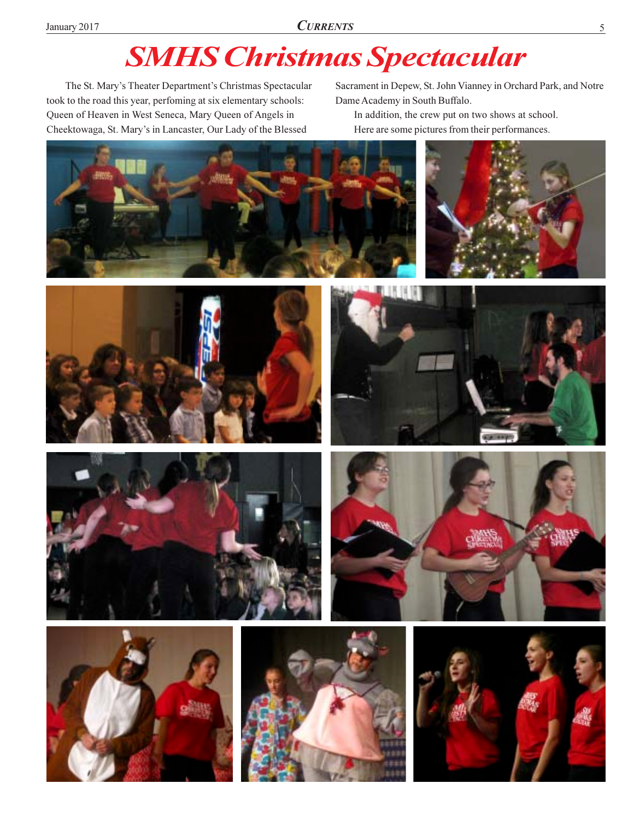## **SMHS Christmas Spectacular**

The St. Mary's Theater Department's Christmas Spectacular took to the road this year, perfoming at six elementary schools: Queen of Heaven in West Seneca, Mary Queen of Angels in Cheektowaga, St. Mary's in Lancaster, Our Lady of the Blessed

Sacrament in Depew, St. John Vianney in Orchard Park, and Notre Dame Academy in South Buffalo.

In addition, the crew put on two shows at school. Here are some pictures from their performances.

















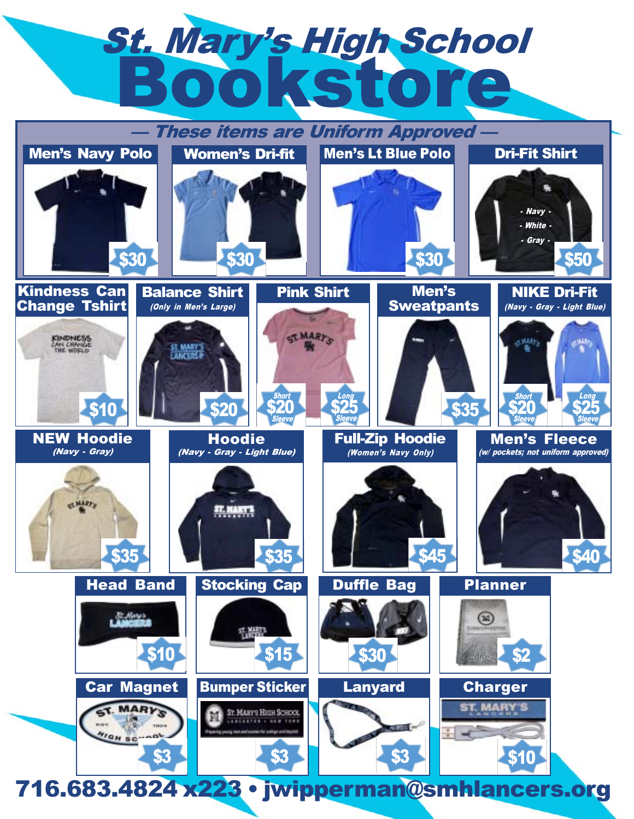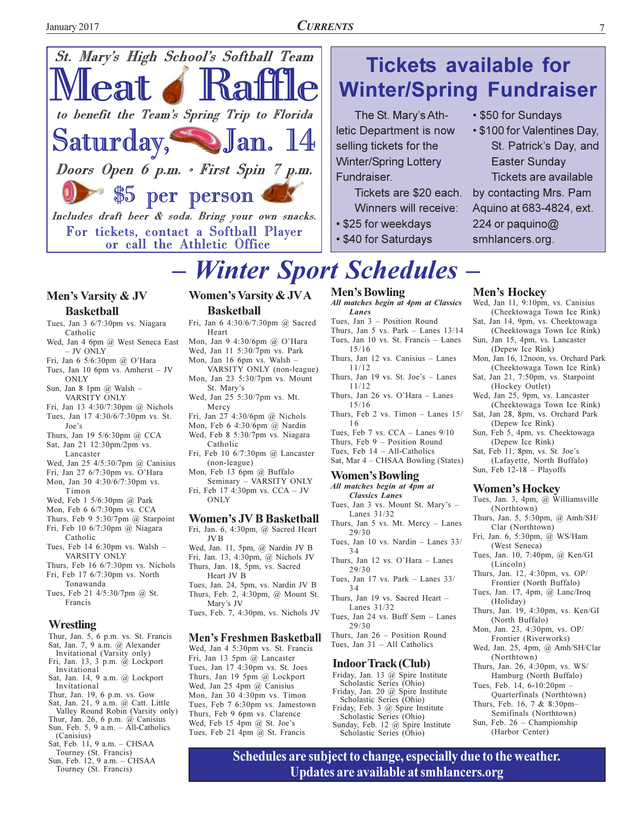



#### Men's Varsity & JV **Basketball**

- Tues, Jan 3 6/7:30pm vs. Niagara Catholic
- Wed, Jan 4 6pm @ West Seneca East - JV ONLY
- Fri, Jan 6 5/6:30pm @ O'Hara
- Tues, Jan 10 6pm vs. Amherst JV ONLY
- Sun, Jan 8 1pm @ Walsh -VARSITY ONLY
- Fri, Jan 13 4:30/7:30pm @ Nichols Tues, Jan 17 4:30/6/7:30pm vs. St.
- Joe's Thurs, Jan 19 5/6:30pm @ CCA
- Sat, Jan 21 12:30pm/2pm vs. Lancaster
- Wed, Jan 25 4/5:30/7pm @ Canisius
- Fri, Jan 27 6/7:30pm vs. O'Hara Mon, Jan 30 4:30/6/7:30pm vs.
- Timon
- Wed, Feb 1 5/6:30pm @ Park
- Mon, Feb 6 6/7:30pm vs. CCA Thurs, Feb 9 5:30/7pm  $@$  Starpoint
- Fri, Feb 10 6/7:30pm @ Niagara Catholic
- Tues, Feb 14 6:30pm vs. Walsh -VARSITY ONLY
- Thurs, Feb 16 6/7:30pm vs. Nichols Fri, Feb 17 6/7:30pm vs. North
- Tonawanda Tues, Feb 21 4/5:30/7pm @ St. Francis

#### Wrestling

- Thur, Jan. 5, 6 p.m. vs. St. Francis
- Sat, Jan. 7, 9 a.m.  $\omega$  Alexander
- Invitational (Varsity only)<br>Fri, Jan. 13, 3 p.m. @ Lockport Invitational
- Sat, Jan. 14, 9 a.m. @ Lockport Invitational
- 
- Thur, Jan. 19, 6 p.m. vs. Gow<br>Sat, Jan. 21, 9 a.m. @ Catt. Little<br>Valley Round Robin (Varsity only) Thur, Jan. 26, 6 p.m.  $(\vec{a})$  Canisius
- Sun, Feb. 5, 9 a.m.  $-$  All-Catholics (Canisius)
- Sat, Feb. 11, 9 a.m. CHSAA
- Tourney (St. Francis)<br>Sun, Feb. 12, 9 a.m. CHSAA
- Tourney (St. Francis)

#### **Women's Varsity & JVA Basketball**

- Fri, Jan 6 4:30/6/7:30pm @ Sacred Heart
- Mon, Jan 9 4:30/6pm @ O'Hara Wed, Jan 11 5:30/7pm vs. Park Mon, Jan 16 6pm vs. Walsh -
- VARSITY ONLY (non-league) Mon, Jan 23 5:30/7pm vs. Mount St. Mary's
- Wed, Jan 25 5:30/7pm vs. Mt. Mercy
- Fri, Jan 27 4:30/6pm @ Nichols Mon, Feb 6 4:30/6pm @ Nardin
- Wed, Feb 8 5:30/7pm vs. Niagara Catholic
- Fri, Feb 10 6/7:30pm @ Lancaster (non-league)
- Mon, Feb 13 6pm @ Buffalo Seminary - VARSITY ONLY Fri, Feb 17 4:30pm vs. CCA - JV
	- **ONLY**

#### **Women's JV B Basketball**

- Fri, Jan. 6, 4:30pm, @ Sacred Heart **JVB** Wed, Jan. 11, 5pm, @ Nardin JV B Fri, Jan. 13, 4:30pm, @ Nichols JV Thurs, Jan. 18, 5pm, vs. Sacred Heart JV B Tues, Jan. 24, 5pm, vs. Nardin JV B
- Thurs, Feb. 2, 4:30pm, @ Mount St. Mary's JV
- Tues, Feb. 7, 4:30pm, vs. Nichols JV

#### **Men's Freshmen Basketball**

Wed, Jan 4 5:30pm vs. St. Francis Fri, Jan 13 5pm @ Lancaster Tues, Jan 17 4:30pm vs. St. Joes Thurs, Jan 19 5pm @ Lockport Wed, Jan 25 4pm  $(a)$  Canisius Mon, Jan 30 4:30pm vs. Timon Tues, Feb 7 6:30pm vs. Jamestown Thurs, Feb 9 6pm vs. Clarence Wed, Feb 15 4pm @ St. Joe's Tues, Feb 21 4pm @ St. Francis

#### **Men's Bowling**

Fundraiser.

All matches begin at 4pm at Classics Lanes

selling tickets for the

**Winter/Spring Lottery** 

• \$25 for weekdays

• \$40 for Saturdays

- Tues, Jan 3 Position Round Thurs, Jan 5 vs. Park - Lanes 13/14 Tues, Jan 10 vs. St. Francis - Lanes
- $15/16$ Thurs, Jan 12 vs. Canisius - Lanes 11/12
- Thurs, Jan 19 vs. St. Joe's Lanes  $11/12$
- Thurs, Jan 26 vs. O'Hara Lanes  $15/16$
- Thurs, Feb 2 vs. Timon Lanes 15/
- 16 Tues, Feb 7 vs. CCA - Lanes 9/10
- Thurs, Feb 9 Position Round
- Tues, Feb  $14 All-Catholics$
- Sat, Mar 4 CHSAA Bowling (States)

#### **Women's Bowling**

- All matches begin at 4pm at
- Classics Lanes Tues, Jan 3 vs. Mount St. Mary's -Lanes 31/32
- Thurs, Jan 5 vs. Mt. Mercy Lanes  $29/30$
- Tues, Jan 10 vs. Nardin Lanes 33/  $34$
- Thurs. Jan 12 vs. O'Hara Lanes  $29/30$
- Tues, Jan 17 vs. Park Lanes  $33/$ 34
- Thurs, Jan 19 vs. Sacred Heart -Lanes 31/32
- Tues, Jan 24 vs. Buff Sem Lanes  $29/30$ Thurs, Jan 26 - Position Round
- Tues, Jan 31 All Catholics

#### **Indoor Track (Club)**

- Friday, Jan. 13 @ Spire Institute Scholastic Series (Ohio) Friday, Jan. 20 @ Spire Institute Scholastic Series (Ohio) Friday, Feb. 3 @ Spire Institute Scholastic Series (Ohio)
- Sunday, Feb. 12 @ Spire Institute<br>Scholastic Series (Ohio)

Schedules are subject to change, especially due to the weather.

Updates are available at smhlancers.org

#### **Winter/Spring Fundraiser** The St. Mary's Ath-• \$50 for Sundays

**Tickets available for** 

letic Department is now • \$100 for Valentines Day, St. Patrick's Day, and **Easter Sunday** Tickets are available Tickets are \$20 each. by contacting Mrs. Pam Winners will receive: Aquino at 683-4824, ext. 224 or paquino@

7

- 
- smhlancers.org.
- Men's Hockey
- Wed, Jan 11, 9:10pm, vs. Canisius (Cheektowaga Town Ice Rink) Sat, Jan 14, 9pm, vs. Cheektowaga
- (Cheektowaga Town Ice Rink) Sun, Jan 15, 4pm, vs. Lancaster
- (Depew Ice Rink)
- Mon, Jan 16, 12noon, vs. Orchard Park (Cheektowaga Town Ice Rink)
- Sat, Jan 21, 7:50pm, vs. Starpoint (Hockey Outlet)
- Wed, Jan 25, 9pm, vs. Lancaster (Cheektowaga Town Ice Rink)
- Sat, Jan 28, 8pm, vs. Orchard Park (Depew Ice Rink)
- Sun, Feb 5, 4pm, vs. Cheektowaga (Depew Ice Rink)
- Sat, Feb 11, 8pm, vs. St. Joe's (Lafayette, North Buffalo)
- Sun, Feb  $12-18$  Playoffs

#### **Women's Hockey**

- Tues, Jan. 3, 4pm, @ Williamsville (Northtown)
- Thurs, Jan. 5, 5:30pm, @ Amh/SH/ Clar (Northtown)
- Fri, Jan. 6, 5:30pm, @ WS/Ham (West Seneca)
- Tues, Jan. 10, 7:40pm, @ Ken/GI (Lincoln)
- Thurs, Jan. 12, 4:30pm, vs. OP/ Frontier (North Buffalo)
- Tues, Jan. 17, 4pm, @ Lanc/Iroq (Holiday)
- Thurs, Jan. 19, 4:30pm, vs. Ken/GI (North Buffalo)
- Mon, Jan. 23, 4:30pm, vs. OP/ Frontier (Riverworks)
- Wed, Jan. 25, 4pm, @ Amh/SH/Clar (Northtown)
- Thurs, Jan. 26, 4:30pm, vs. WS/ Hamburg (North Buffalo)
- Tues, Feb. 14, 6-10:20pm -Quarterfinals (Northtown) Thurs, Feb. 16, 7 & 8:30pm-

Sun, Feb. 26 - Championship

(Harbor Center)

Semifinals (Northtown)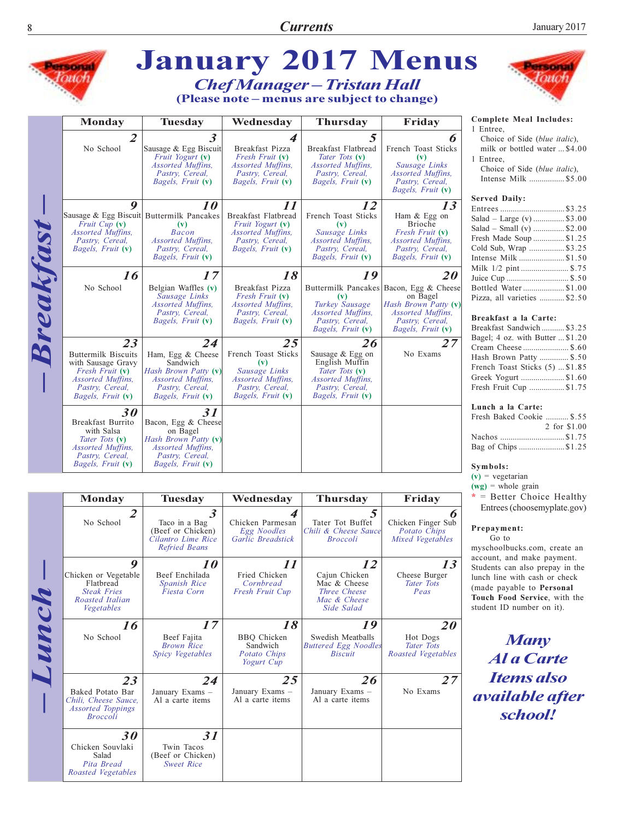

|  | Monday                                                                                        | <b>Tuesday</b>                                                                                    | Wednesday                                                          | <b>Thursday</b>                                                                   | Friday                                                           |
|--|-----------------------------------------------------------------------------------------------|---------------------------------------------------------------------------------------------------|--------------------------------------------------------------------|-----------------------------------------------------------------------------------|------------------------------------------------------------------|
|  | $\overline{2}$<br>No School                                                                   | $\boldsymbol{\beta}$<br>Taco in a Bag<br>(Beef or Chicken)<br>Cilantro Lime Rice<br>Refried Beans | 4<br>Chicken Parmesan<br>Egg Noodles<br>Garlic Breadstick          | 5<br>Tater Tot Buffet<br>Chili & Cheese Sauce<br><b>Broccoli</b>                  | Chicken Finger Sub<br>Potato Chips<br>Mixed Vegetables           |
|  | 9<br>Chicken or Vegetable<br>Flathread<br><b>Steak Fries</b><br>Roasted Italian<br>Vegetables | 10<br>Beef Enchilada<br><b>Spanish Rice</b><br>Fiesta Corn                                        | 11<br>Fried Chicken<br>Cornbread<br><b>Fresh Fruit Cup</b>         | 12<br>Cajun Chicken<br>Mac & Cheese<br>Three Cheese<br>Mac & Cheese<br>Side Salad | 13<br>Cheese Burger<br>Tater Tots<br>Peas                        |
|  | 16<br>No School                                                                               | 17<br>Beef Fajita<br><b>Brown Rice</b><br>Spicy Vegetables                                        | 18<br><b>BBQ</b> Chicken<br>Sandwich<br>Potato Chips<br>Yogurt Cup | 19<br>Swedish Meatballs<br><b>Buttered Egg Noodles</b><br><b>Biscuit</b>          | <i>20</i><br>Hot Dogs<br><b>Tater Tots</b><br>Roasted Vegetables |
|  | 23<br>Baked Potato Bar<br>Chili, Cheese Sauce,<br><b>Assorted Toppings</b><br><b>Broccoli</b> | 24<br>January Exams -<br>Al a carte items                                                         | 25<br>January Exams -<br>Al a carte items                          | 26<br>January Exams -<br>Al a carte items                                         | 27<br>No Exams                                                   |
|  | 30<br>Chicken Souvlaki<br>Salad<br>Pita Bread<br>Roasted Vegetables                           | 31<br>Twin Tacos<br>(Beef or Chicken)<br><b>Sweet Rice</b>                                        |                                                                    |                                                                                   |                                                                  |

## **PERMIT** ouo

#### **Complete Meal Includes:**

Choice of Side (blue italic), milk or bottled water ... \$4.00

Choice of Side (blue italic), Intense Milk .................. \$5.00

| Entrees\$3.25               |  |
|-----------------------------|--|
| Salad – Large (v)  \$3.00   |  |
| Salad – Small (v) \$2.00    |  |
| Fresh Made Soup \$1.25      |  |
| Cold Sub, Wrap \$3.25       |  |
| Intense Milk \$1.50         |  |
| Milk 1/2 pint  \$.75        |  |
| Juice Cup  \$.50            |  |
| Bottled Water\$1.00         |  |
| Pizza, all varieties \$2.50 |  |

#### Breakfast a la Carte:

| Breakfast Sandwich  \$3.25       |  |
|----------------------------------|--|
| Bagel; 4 oz. with Butter  \$1.20 |  |
| Cream Cheese  \$.60              |  |
| Hash Brown Patty  \$.50          |  |
| French Toast Sticks (5)  \$1.85  |  |
| Greek Yogurt \$1.60              |  |
| Fresh Fruit Cup \$1.75           |  |
|                                  |  |

#### Lunch a la Carte:

| Fresh Baked Cookie  \$.55 |              |
|---------------------------|--------------|
|                           | 2 for \$1.00 |
|                           |              |
| Bag of Chips \$1.25       |              |

#### Symbols:

 $(v)$  = vegetarian

 $(wg)$  = whole grain

 $*$  = Better Choice Healthy Entrees (choosemyplate.gov)

#### Prepayment:

 $Go$  to myschoolbucks.com, create an account, and make payment. Students can also prepay in the lunch line with cash or check (made payable to Personal Touch Food Service, with the student ID number on it).

**Many** Al a Carte **Items also** *available after* school!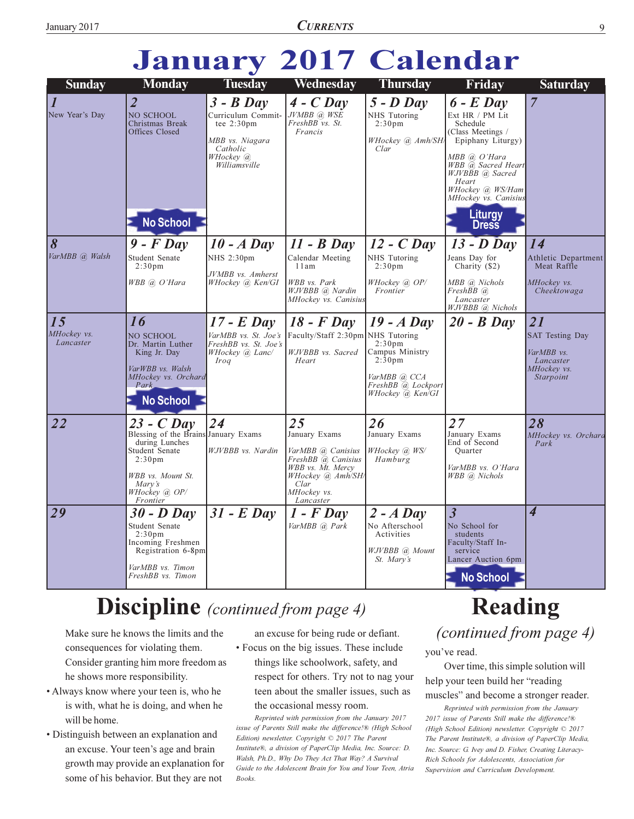# **January 2017 Calendar**

| <b>Sunday</b>                               | <b>Monday</b>                                                                                                                                                              | <b>Tuesday</b>                                                                                                  | Wednesday                                                                                                                                    | <b>Thursday</b>                                                                                                                     | Friday                                                                                                                                                                                                                                  | <b>Saturday</b>                                                                     |
|---------------------------------------------|----------------------------------------------------------------------------------------------------------------------------------------------------------------------------|-----------------------------------------------------------------------------------------------------------------|----------------------------------------------------------------------------------------------------------------------------------------------|-------------------------------------------------------------------------------------------------------------------------------------|-----------------------------------------------------------------------------------------------------------------------------------------------------------------------------------------------------------------------------------------|-------------------------------------------------------------------------------------|
| $\overline{\mathcal{I}}$<br>New Year's Day  | $\overline{2}$<br>NO SCHOOL<br>Christmas Break<br>Offices Closed<br><b>No School</b>                                                                                       | $3 - B$ Day<br>Curriculum Commit-<br>tee $2:30$ pm<br>MBB vs. Niagara<br>Catholic<br>WHockey @<br>Williamsville | $4 - C$ Day<br>JVMBB @ WSE<br>FreshBB vs. St.<br>Francis                                                                                     | $5 - D$ Day<br>NHS Tutoring<br>2:30 <sub>pm</sub><br>WHockey @ Amh/SH/<br>Clar                                                      | $6$ - $E$ Day<br>Ext HR / PM Lit<br>Schedule<br>(Class Meetings /<br>Epiphany Liturgy)<br>MBB @ O'Hara<br>WBB @ Sacred Heart<br>WJVBBB @ Sacred<br>Heart<br>WHockey @, WS/Ham<br>MHockey vs. Canisius<br><b>Liturgy</b><br><b>Dress</b> | 7                                                                                   |
| $\overline{8}$<br>VarMBB @ Walsh            | $9$ - $F$ Day<br>Student Senate<br>2:30 <sub>pm</sub><br>WBB @ O'Hara                                                                                                      | $10 - A$ Day<br>NHS 2:30pm<br>JVMBB vs. Amherst<br>WHockey @ Ken/GI                                             | $11 - B$ Day<br>Calendar Meeting<br>11am<br>WBB vs. Park<br>WJVBBB @ Nardin<br>MHockey vs. Canisius                                          | $12 - C$ Day<br>NHS Tutoring<br>2:30 <sub>pm</sub><br>WHockey @ OP/<br>Frontier                                                     | $13 - D$ Day<br>Jeans Day for<br>Charity (\$2)<br>MBB @ Nichols<br>FreshBB @<br>Lancaster<br>WJVBBB @ Nichols                                                                                                                           | 14<br>Athletic Department<br>Meat Raffle<br>MHockey vs.<br>Cheektowaga              |
| $\overline{15}$<br>MHockey vs.<br>Lancaster | 16<br>NO SCHOOL<br>Dr. Martin Luther<br>King Jr. Day<br>VarWBB vs. Walsh<br>MHockey vs. Orchard<br>Park<br><b>No School</b>                                                | $17$ - E Day<br>VarMBB vs. St. Joe's<br>FreshBB vs. St. Joe's<br>WHockey @ Lanc/<br>Iroq                        | $18$ - $F$ Day<br>Faculty/Staff 2:30pm NHS Tutoring<br>WJVBBB vs. Sacred<br>Heart                                                            | $19 - A$ Day<br>2:30 <sub>pm</sub><br>Campus Ministry<br>$2:30 \text{pm}$<br>VarMBB @ CCA<br>FreshBB @ Lockport<br>WHockey @ Ken/GI | $20 - B$ Day                                                                                                                                                                                                                            | 21<br><b>SAT Testing Day</b><br>VarMBB vs.<br>Lancaster<br>MHockey vs.<br>Starpoint |
| 22                                          | $23 - C$ Day<br>Blessing of the Brains January Exams<br>during Lunches<br>Student Senate<br>2:30 <sub>pm</sub><br>WBB vs. Mount St.<br>Mary's<br>WHockey @ OP/<br>Frontier | 24<br>WJVBBB vs. Nardin                                                                                         | 25<br>January Exams<br>VarMBB @ Canisius<br>FreshBB @ Canisius<br>WBB vs. Mt. Mercy<br>WHockey @ Amh/SH/<br>Clar<br>MHockey vs.<br>Lancaster | 26<br>January Exams<br>WHockey @, WS/<br>Hamburg                                                                                    | 27<br>January Exams<br>End of Second<br>Ouarter<br>VarMBB vs. O'Hara<br>WBB @ Nichols                                                                                                                                                   | 28<br>MHockey vs. Orchard<br>Park                                                   |
| 29                                          | $30 - D$ Day<br>Student Senate<br>2:30 <sub>pm</sub><br>Incoming Freshmen<br>Registration 6-8pm<br>VarMBB vs. Timon<br>FreshBB vs. Timon                                   | $31$ - E Day                                                                                                    | $1$ - $F$ Day<br>VarMBB @ Park                                                                                                               | $2 - A$ Day<br>No Afterschool<br>Activities<br>WJVBBB @ Mount<br>St. Mary's                                                         | $\overline{\mathbf{3}}$<br>No School for<br>students<br>Faculty/Staff In-<br>service<br>Lancer Auction 6pm<br><b>No School</b>                                                                                                          | 4                                                                                   |

### **Discipline** (continued from page 4)

Make sure he knows the limits and the consequences for violating them. Consider granting him more freedom as he shows more responsibility.

- Always know where your teen is, who he is with, what he is doing, and when he will be home.
- Distinguish between an explanation and an excuse. Your teen's age and brain growth may provide an explanation for some of his behavior. But they are not

an excuse for being rude or defiant. • Focus on the big issues. These include things like schoolwork, safety, and respect for others. Try not to nag your teen about the smaller issues, such as the occasional messy room.

Reprinted with permission from the January 2017 issue of Parents Still make the difference!® (High School Edition) newsletter. Copyright © 2017 The Parent Institute®, a division of PaperClip Media, Inc. Source: D. Walsh, Ph.D., Why Do They Act That Way? A Survival Guide to the Adolescent Brain for You and Your Teen, Atria Books.

## **Reading**

(continued from page 4)

you've read.

Over time, this simple solution will help your teen build her "reading

muscles" and become a stronger reader.

Reprinted with permission from the January 2017 issue of Parents Still make the difference!® (High School Edition) newsletter. Copyright © 2017 The Parent Institute®, a division of PaperClip Media, Inc. Source: G. Ivey and D. Fisher, Creating Literacy-Rich Schools for Adolescents, Association for Supervision and Curriculum Development.